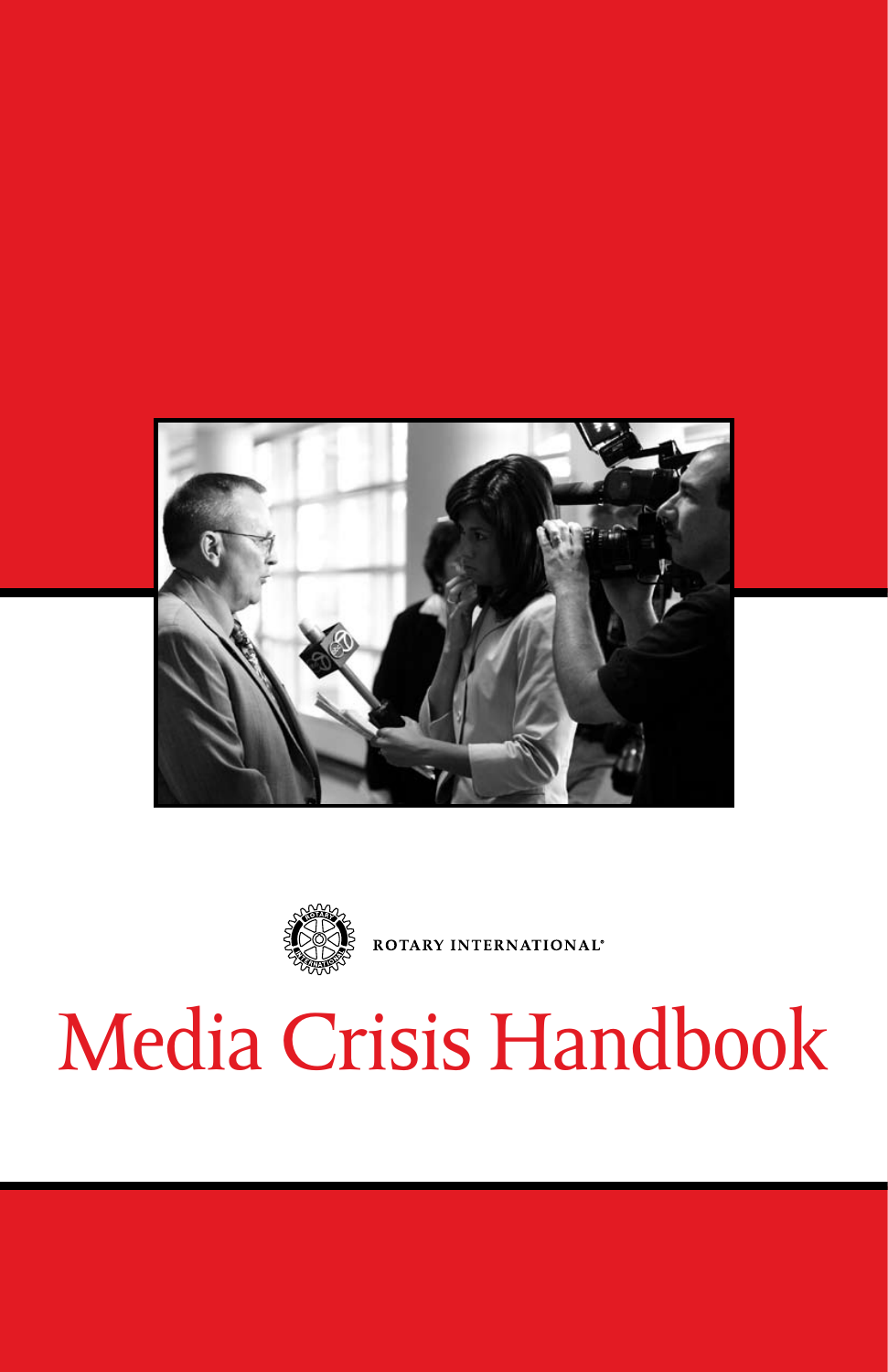



ROTARY INTERNATIONAL®

# Media Crisis Handbook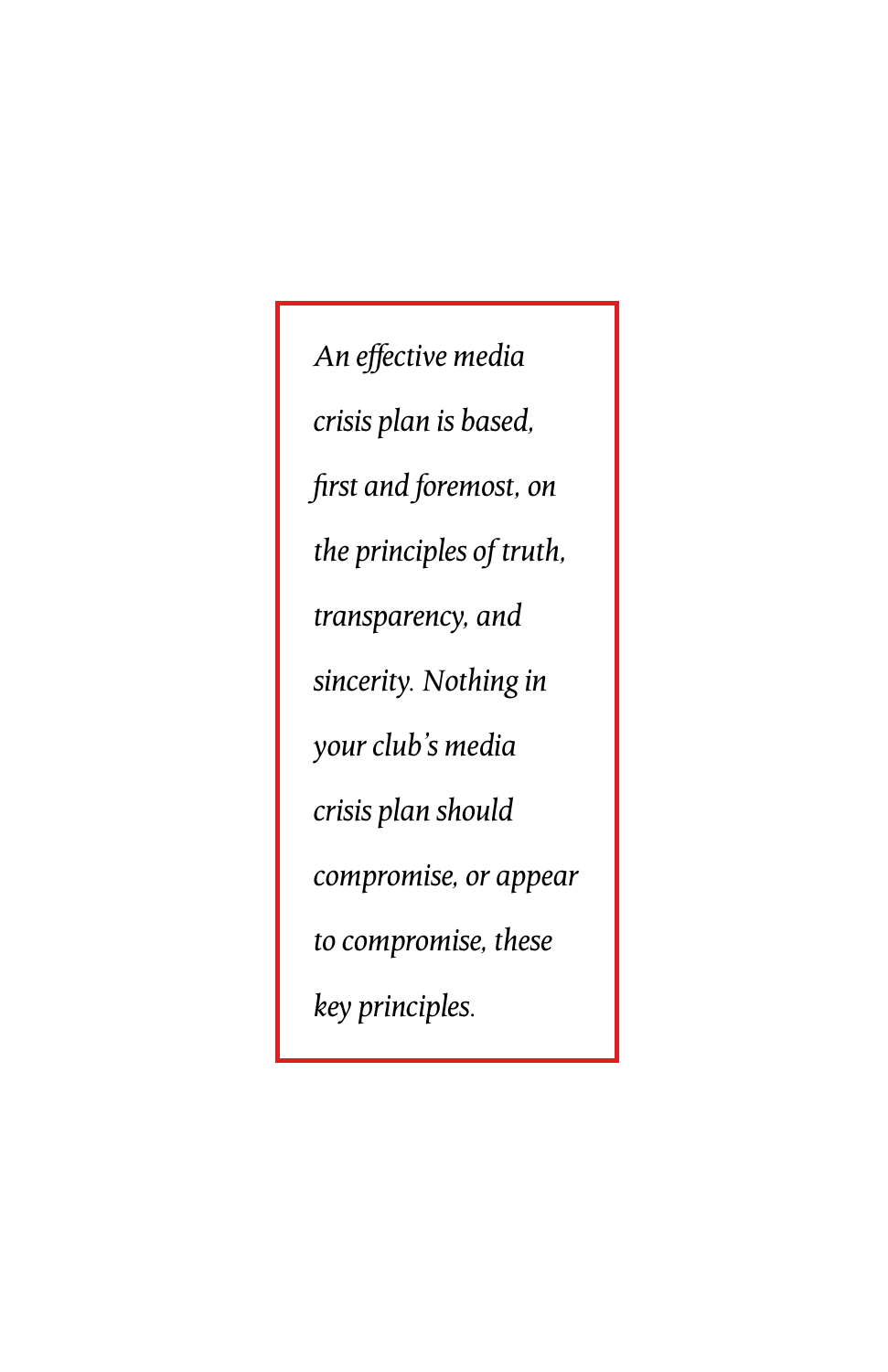*An effective media crisis plan is based, first and foremost, on the principles of truth, transparency, and sincerity. Nothing in your club's media crisis plan should compromise, or appear to compromise, these key principles.*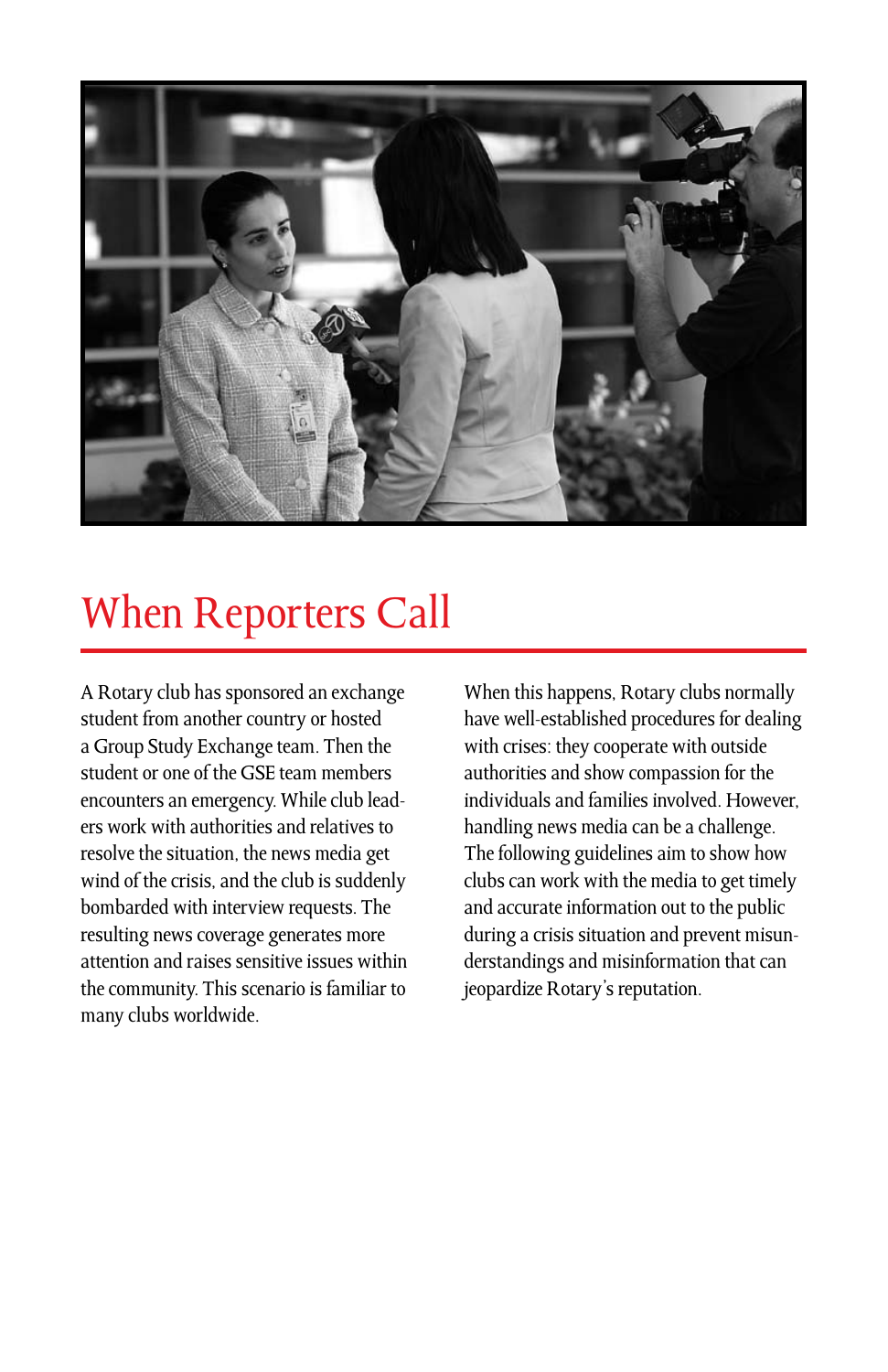

### When Reporters Call

A Rotary club has sponsored an exchange student from another country or hosted a Group Study Exchange team. Then the student or one of the GSE team members encounters an emergency. While club leaders work with authorities and relatives to resolve the situation, the news media get wind of the crisis, and the club is suddenly bombarded with interview requests. The resulting news coverage generates more attention and raises sensitive issues within the community. This scenario is familiar to many clubs worldwide.

When this happens, Rotary clubs normally have well-established procedures for dealing with crises: they cooperate with outside authorities and show compassion for the individuals and families involved. However, handling news media can be a challenge. The following guidelines aim to show how clubs can work with the media to get timely and accurate information out to the public during a crisis situation and prevent misunderstandings and misinformation that can jeopardize Rotary's reputation.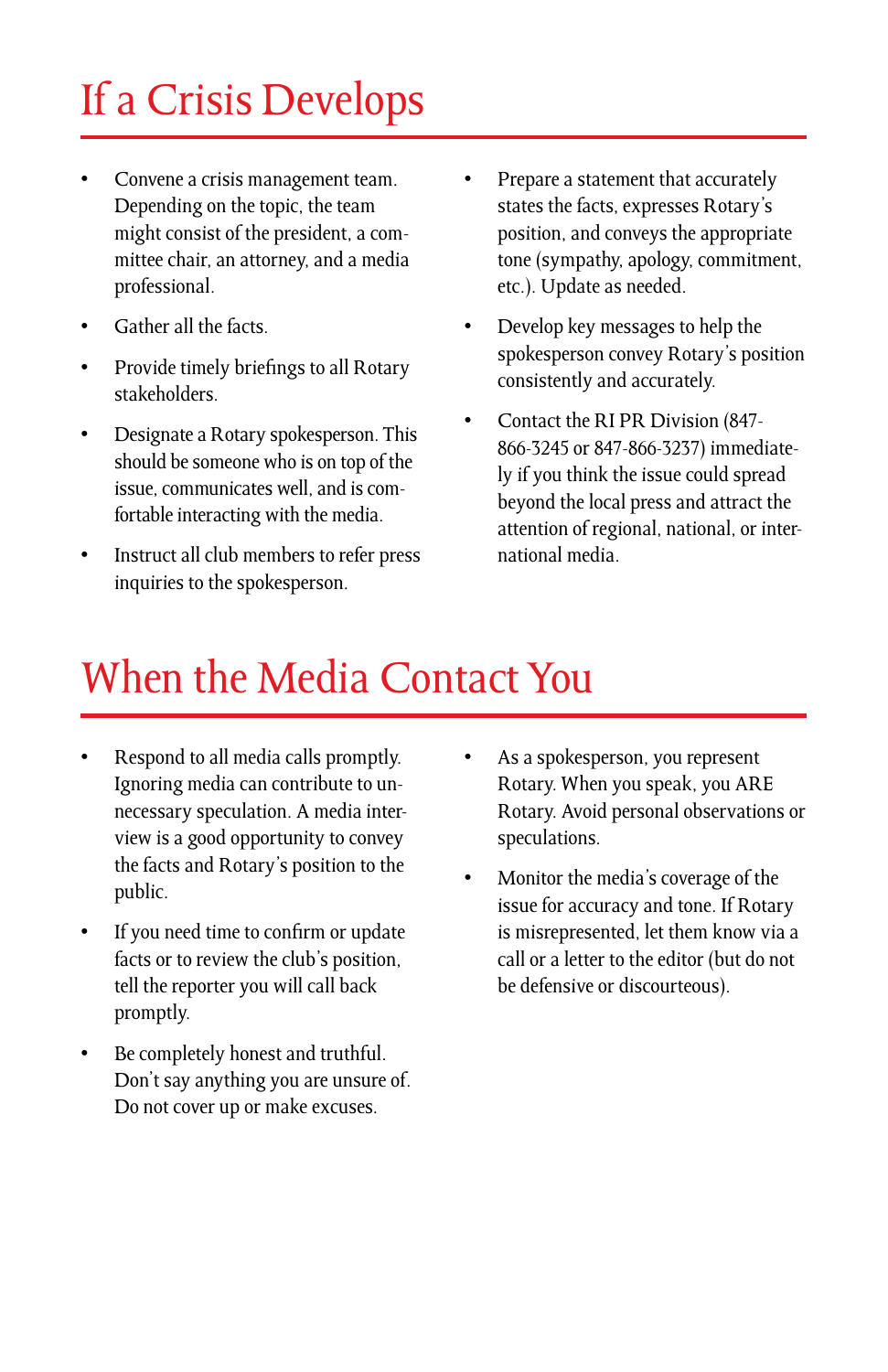# If a Crisis Develops

- Convene a crisis management team. Depending on the topic, the team might consist of the president, a committee chair, an attorney, and a media professional.
- Gather all the facts.
- Provide timely briefings to all Rotary stakeholders.
- Designate a Rotary spokesperson. This should be someone who is on top of the issue, communicates well, and is comfortable interacting with the media.
- Instruct all club members to refer press inquiries to the spokesperson.
- Prepare a statement that accurately states the facts, expresses Rotary's position, and conveys the appropriate tone (sympathy, apology, commitment, etc.). Update as needed.
- Develop key messages to help the spokesperson convey Rotary's position consistently and accurately.
- Contact the RI PR Division (847- 866-3245 or 847-866-3237) immediately if you think the issue could spread beyond the local press and attract the attention of regional, national, or international media.

### When the Media Contact You

- Respond to all media calls promptly. Ignoring media can contribute to unnecessary speculation. A media interview is a good opportunity to convey the facts and Rotary's position to the public.
- If you need time to confirm or update facts or to review the club's position, tell the reporter you will call back promptly.
- Be completely honest and truthful. Don't say anything you are unsure of. Do not cover up or make excuses.
- As a spokesperson, you represent Rotary. When you speak, you ARE Rotary. Avoid personal observations or speculations.
- Monitor the media's coverage of the issue for accuracy and tone. If Rotary is misrepresented, let them know via a call or a letter to the editor (but do not be defensive or discourteous).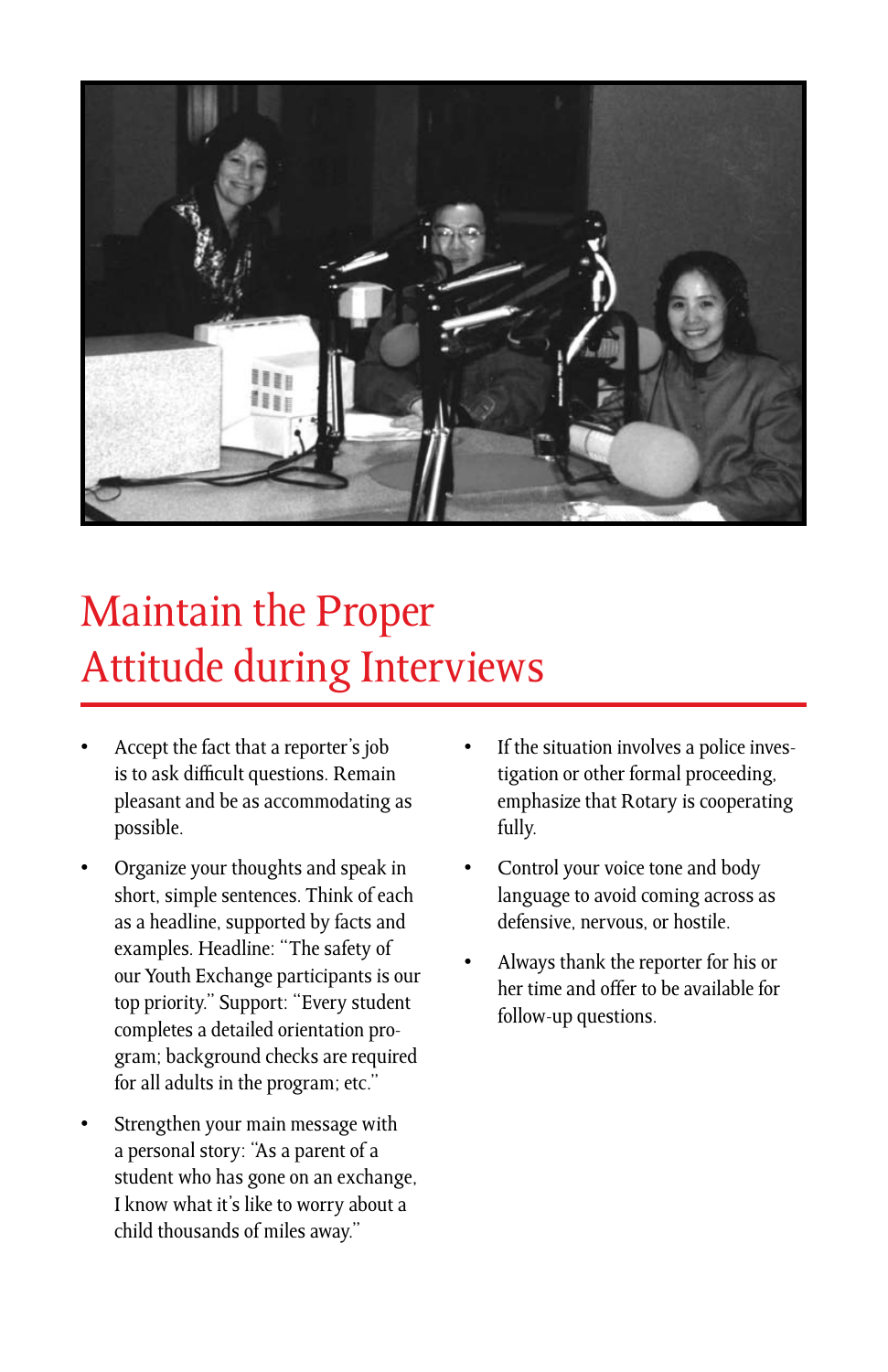

# Maintain the Proper Attitude during Interviews

- Accept the fact that a reporter's job is to ask difficult questions. Remain pleasant and be as accommodating as possible.
- Organize your thoughts and speak in short, simple sentences. Think of each as a headline, supported by facts and examples. Headline: "The safety of our Youth Exchange participants is our top priority." Support: "Every student completes a detailed orientation program; background checks are required for all adults in the program; etc."
- Strengthen your main message with a personal story: "As a parent of a student who has gone on an exchange, I know what it's like to worry about a child thousands of miles away."
- If the situation involves a police investigation or other formal proceeding, emphasize that Rotary is cooperating fully.
- Control your voice tone and body language to avoid coming across as defensive, nervous, or hostile.
- Always thank the reporter for his or her time and offer to be available for follow-up questions.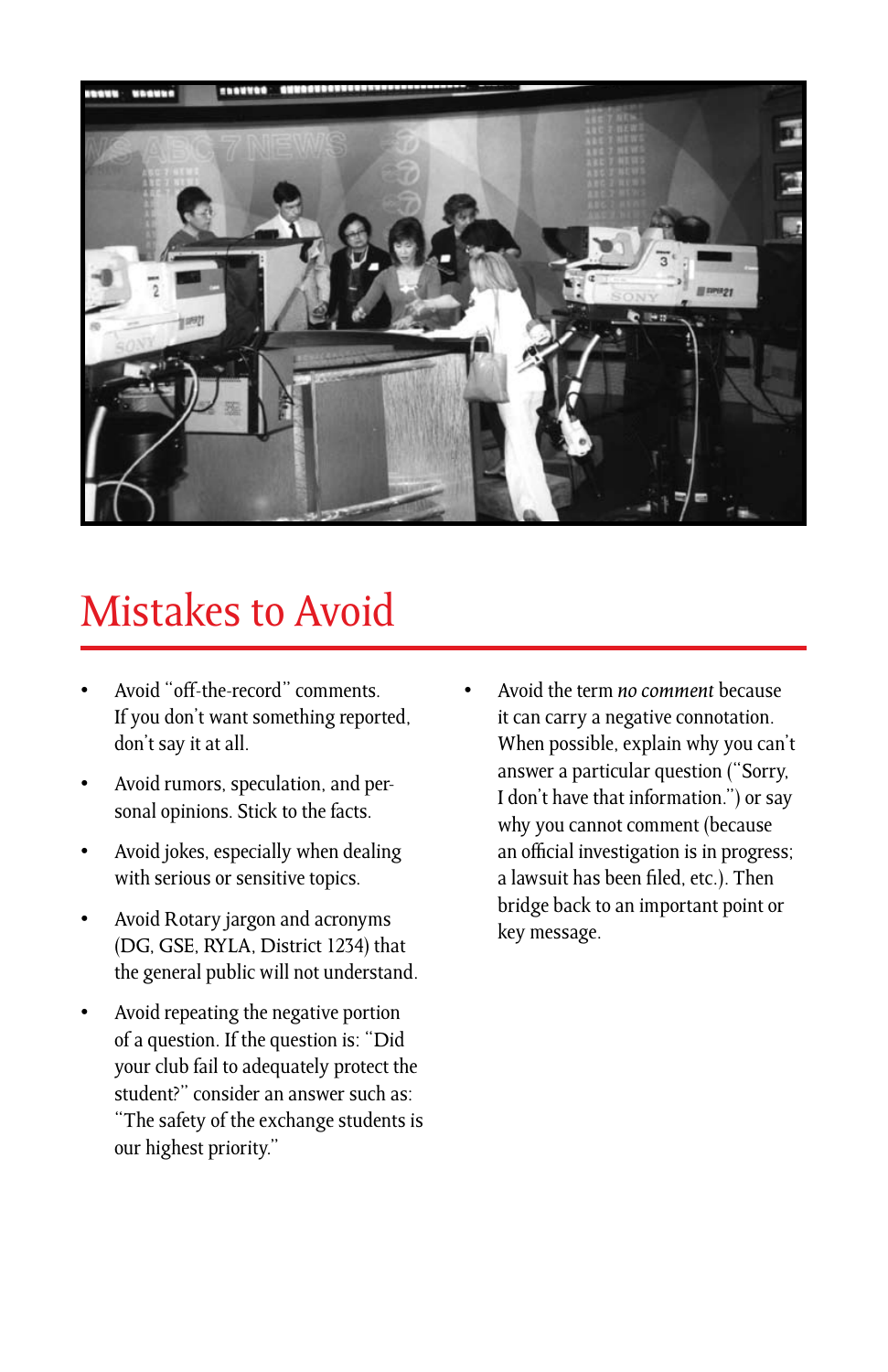

#### Mistakes to Avoid

- Avoid "off-the-record" comments. If you don't want something reported, don't say it at all.
- Avoid rumors, speculation, and personal opinions. Stick to the facts.
- Avoid jokes, especially when dealing with serious or sensitive topics.
- Avoid Rotary jargon and acronyms (DG, GSE, RYLA, District 1234) that the general public will not understand.
- Avoid repeating the negative portion of a question. If the question is: "Did your club fail to adequately protect the student?" consider an answer such as: "The safety of the exchange students is our highest priority."
- Avoid the term *no comment* because it can carry a negative connotation. When possible, explain why you can't answer a particular question ("Sorry, I don't have that information.") or say why you cannot comment (because an official investigation is in progress; a lawsuit has been filed, etc.). Then bridge back to an important point or key message.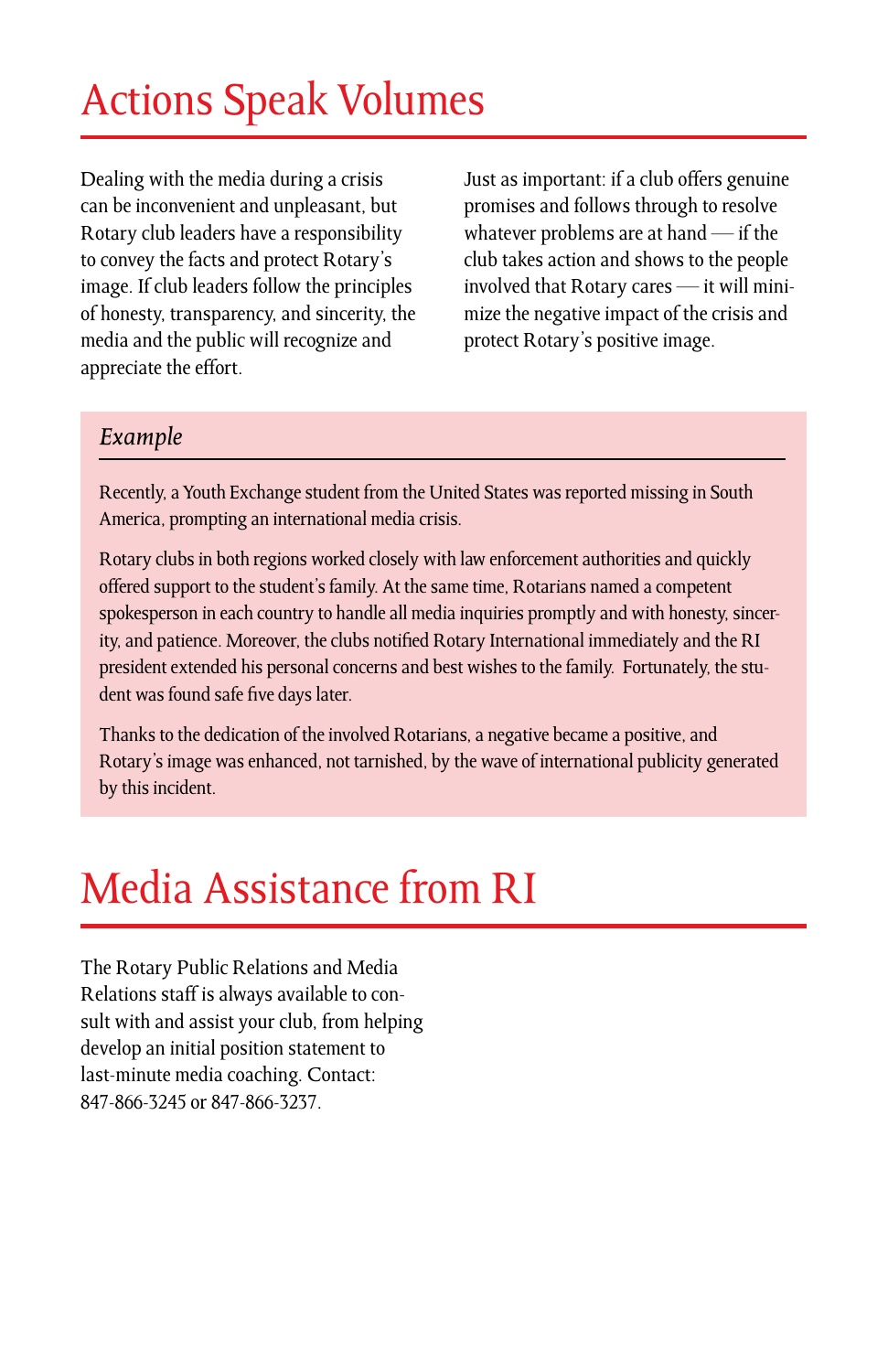# Actions Speak Volumes

Dealing with the media during a crisis can be inconvenient and unpleasant, but Rotary club leaders have a responsibility to convey the facts and protect Rotary's image. If club leaders follow the principles of honesty, transparency, and sincerity, the media and the public will recognize and appreciate the effort.

Just as important: if a club offers genuine promises and follows through to resolve whatever problems are at hand — if the club takes action and shows to the people involved that Rotary cares — it will minimize the negative impact of the crisis and protect Rotary's positive image.

#### *Example*

Recently, a Youth Exchange student from the United States was reported missing in South America, prompting an international media crisis.

Rotary clubs in both regions worked closely with law enforcement authorities and quickly offered support to the student's family. At the same time, Rotarians named a competent spokesperson in each country to handle all media inquiries promptly and with honesty, sincerity, and patience. Moreover, the clubs notified Rotary International immediately and the RI president extended his personal concerns and best wishes to the family. Fortunately, the student was found safe five days later.

Thanks to the dedication of the involved Rotarians, a negative became a positive, and Rotary's image was enhanced, not tarnished, by the wave of international publicity generated by this incident.

## Media Assistance from RI

The Rotary Public Relations and Media Relations staff is always available to consult with and assist your club, from helping develop an initial position statement to last-minute media coaching. Contact: 847-866-3245 or 847-866-3237.